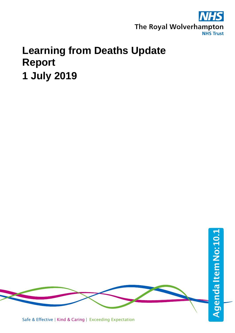

# **Learning from Deaths Update Report 1 July 2019**

Safe & Effective | Kind & Caring | Exceeding Expectation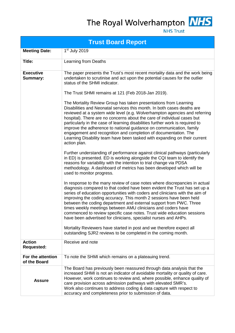The Royal Wolverhampton NHS



**NHS Trust** 

| <b>Trust Board Report</b>           |                                                                                                                                                                                                                                                                                                                                                                                                                                                                                                                                                                                                                                                                                                                                                                                                                                                                                                                                                                                                                                                                                                                                                                                                                                                                                                                                                                                                                                                                                                                                                                                                                                                                                                                                                                                                                                                                                                                                                                           |  |  |  |  |  |  |  |  |
|-------------------------------------|---------------------------------------------------------------------------------------------------------------------------------------------------------------------------------------------------------------------------------------------------------------------------------------------------------------------------------------------------------------------------------------------------------------------------------------------------------------------------------------------------------------------------------------------------------------------------------------------------------------------------------------------------------------------------------------------------------------------------------------------------------------------------------------------------------------------------------------------------------------------------------------------------------------------------------------------------------------------------------------------------------------------------------------------------------------------------------------------------------------------------------------------------------------------------------------------------------------------------------------------------------------------------------------------------------------------------------------------------------------------------------------------------------------------------------------------------------------------------------------------------------------------------------------------------------------------------------------------------------------------------------------------------------------------------------------------------------------------------------------------------------------------------------------------------------------------------------------------------------------------------------------------------------------------------------------------------------------------------|--|--|--|--|--|--|--|--|
| <b>Meeting Date:</b>                | 1 <sup>st</sup> July 2019                                                                                                                                                                                                                                                                                                                                                                                                                                                                                                                                                                                                                                                                                                                                                                                                                                                                                                                                                                                                                                                                                                                                                                                                                                                                                                                                                                                                                                                                                                                                                                                                                                                                                                                                                                                                                                                                                                                                                 |  |  |  |  |  |  |  |  |
| <b>Title:</b>                       | Learning from Deaths                                                                                                                                                                                                                                                                                                                                                                                                                                                                                                                                                                                                                                                                                                                                                                                                                                                                                                                                                                                                                                                                                                                                                                                                                                                                                                                                                                                                                                                                                                                                                                                                                                                                                                                                                                                                                                                                                                                                                      |  |  |  |  |  |  |  |  |
| <b>Executive</b><br><b>Summary:</b> | The paper presents the Trust's most recent mortality data and the work being<br>undertaken to scrutinise and act upon the potential causes for the outlier<br>status of the SHMI indicator.<br>The Trust SHMI remains at 121 (Feb 2018-Jan 2019).<br>The Mortality Review Group has taken presentations from Learning<br>Disabilities and Neonatal services this month. In both cases deaths are<br>reviewed at a system wide level (e.g. Wolverhampton agencies and referring<br>hospital). There are no concerns about the care of individual cases but<br>particularly in the case of learning disabilities further work is required to<br>improve the adherence to national guidance on communication, family<br>engagement and recognition and completion of documentation. The<br>Learning Disability team have been tasked with expanding on their current<br>action plan.<br>Further understanding of performance against clinical pathways (particularly<br>in ED) is presented. ED is working alongside the CQI team to identify the<br>reasons for variability with the intention to trial change via PDSA<br>methodology. A dashboard of metrics has been developed which will be<br>used to monitor progress.<br>In response to the many review of case notes where discrepancies in actual<br>diagnosis compared to that coded have been evident the Trust has set up a<br>series of education opportunities with coders and clinicians with the aim of<br>improving the coding accuracy. This month 2 sessions have been held<br>between the coding department and external support from PWC. Three<br>times weekly meetings between AMU clinicians and coders have<br>commenced to review specific case notes. Trust wide education sessions<br>have been advertised for clinicians, specialist nurses and AHPs.<br>Mortality Reviewers have started in post and we therefore expect all<br>outstanding SJR2 reviews to be completed in the coming month. |  |  |  |  |  |  |  |  |
| <b>Action</b><br><b>Requested:</b>  | Receive and note                                                                                                                                                                                                                                                                                                                                                                                                                                                                                                                                                                                                                                                                                                                                                                                                                                                                                                                                                                                                                                                                                                                                                                                                                                                                                                                                                                                                                                                                                                                                                                                                                                                                                                                                                                                                                                                                                                                                                          |  |  |  |  |  |  |  |  |
| For the attention<br>of the Board   | To note the SHMI which remains on a plateauing trend.                                                                                                                                                                                                                                                                                                                                                                                                                                                                                                                                                                                                                                                                                                                                                                                                                                                                                                                                                                                                                                                                                                                                                                                                                                                                                                                                                                                                                                                                                                                                                                                                                                                                                                                                                                                                                                                                                                                     |  |  |  |  |  |  |  |  |
| <b>Assure</b>                       | The Board has previously been reassured through data analysis that the<br>increased SHMI is not an indicator of avoidable mortality or quality of care.<br>However, work continues to review and, where possible, enhance quality of<br>care provision across admission pathways with elevated SMR's.<br>Work also continues to address coding & data capture with respect to<br>accuracy and completeness prior to submission of data.                                                                                                                                                                                                                                                                                                                                                                                                                                                                                                                                                                                                                                                                                                                                                                                                                                                                                                                                                                                                                                                                                                                                                                                                                                                                                                                                                                                                                                                                                                                                   |  |  |  |  |  |  |  |  |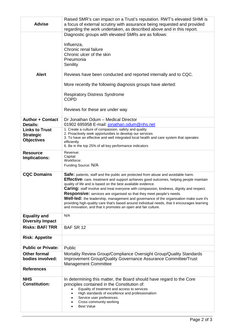| <b>Advise</b>                            | Raised SMR's can impact on a Trust's reputation. RWT's elevated SHMI is<br>a focus of external scrutiny with assurance being requested and provided<br>regarding the work undertaken, as described above and in this report.                                                                                                                                                                                                                                                                                                                                                                                                                                                                      |  |  |  |  |  |  |
|------------------------------------------|---------------------------------------------------------------------------------------------------------------------------------------------------------------------------------------------------------------------------------------------------------------------------------------------------------------------------------------------------------------------------------------------------------------------------------------------------------------------------------------------------------------------------------------------------------------------------------------------------------------------------------------------------------------------------------------------------|--|--|--|--|--|--|
|                                          | Diagnostic groups with elevated SMRs are as follows:                                                                                                                                                                                                                                                                                                                                                                                                                                                                                                                                                                                                                                              |  |  |  |  |  |  |
|                                          | Influenza,<br>Chronic renal failure<br>Chronic ulcer of the skin<br>Pneumonia<br>Senility                                                                                                                                                                                                                                                                                                                                                                                                                                                                                                                                                                                                         |  |  |  |  |  |  |
| <b>Alert</b>                             | Reviews have been conducted and reported internally and to CQC.                                                                                                                                                                                                                                                                                                                                                                                                                                                                                                                                                                                                                                   |  |  |  |  |  |  |
|                                          | More recently the following diagnosis groups have alerted:                                                                                                                                                                                                                                                                                                                                                                                                                                                                                                                                                                                                                                        |  |  |  |  |  |  |
|                                          | <b>Respiratory Distress Syndrome</b><br><b>COPD</b>                                                                                                                                                                                                                                                                                                                                                                                                                                                                                                                                                                                                                                               |  |  |  |  |  |  |
|                                          | Reviews for these are under way                                                                                                                                                                                                                                                                                                                                                                                                                                                                                                                                                                                                                                                                   |  |  |  |  |  |  |
| <b>Author + Contact</b>                  | Dr Jonathan Odum - Medical Director                                                                                                                                                                                                                                                                                                                                                                                                                                                                                                                                                                                                                                                               |  |  |  |  |  |  |
| <b>Details:</b><br><b>Links to Trust</b> | 01902 695958 E-mail: jonathan.odum@nhs.net<br>1. Create a culture of compassion, safety and quality                                                                                                                                                                                                                                                                                                                                                                                                                                                                                                                                                                                               |  |  |  |  |  |  |
| <b>Strategic</b>                         | 2. Proactively seek opportunities to develop our services                                                                                                                                                                                                                                                                                                                                                                                                                                                                                                                                                                                                                                         |  |  |  |  |  |  |
| <b>Objectives</b>                        | 3. To have an effective and well integrated local health and care system that operates<br>efficiently                                                                                                                                                                                                                                                                                                                                                                                                                                                                                                                                                                                             |  |  |  |  |  |  |
|                                          | 6. Be in the top 25% of all key performance indicators                                                                                                                                                                                                                                                                                                                                                                                                                                                                                                                                                                                                                                            |  |  |  |  |  |  |
| <b>Resource</b>                          | Revenue:<br>Capital:                                                                                                                                                                                                                                                                                                                                                                                                                                                                                                                                                                                                                                                                              |  |  |  |  |  |  |
| <b>Implications:</b>                     | Workforce:                                                                                                                                                                                                                                                                                                                                                                                                                                                                                                                                                                                                                                                                                        |  |  |  |  |  |  |
|                                          | Funding Source: N/A                                                                                                                                                                                                                                                                                                                                                                                                                                                                                                                                                                                                                                                                               |  |  |  |  |  |  |
| <b>CQC Domains</b>                       | Safe: patients, staff and the public are protected from abuse and avoidable harm.<br><b>Effective:</b> care, treatment and support achieves good outcomes, helping people maintain<br>quality of life and is based on the best available evidence.<br><b>Caring:</b> staff involve and treat everyone with compassion, kindness, dignity and respect.<br>Responsive: services are organised so that they meet people's needs.<br><b>Well-led:</b> the leadership, management and governance of the organisation make sure it's<br>providing high-quality care that's based around individual needs, that it encourages learning<br>and innovation, and that it promotes an open and fair culture. |  |  |  |  |  |  |
| <b>Equality and</b>                      | N/A                                                                                                                                                                                                                                                                                                                                                                                                                                                                                                                                                                                                                                                                                               |  |  |  |  |  |  |
| <b>Diversity Impact</b>                  |                                                                                                                                                                                                                                                                                                                                                                                                                                                                                                                                                                                                                                                                                                   |  |  |  |  |  |  |
| <b>Risks: BAF/TRR</b>                    | BAF SR 12                                                                                                                                                                                                                                                                                                                                                                                                                                                                                                                                                                                                                                                                                         |  |  |  |  |  |  |
| <b>Risk: Appetite</b>                    |                                                                                                                                                                                                                                                                                                                                                                                                                                                                                                                                                                                                                                                                                                   |  |  |  |  |  |  |
| <b>Public or Private:</b>                | Public                                                                                                                                                                                                                                                                                                                                                                                                                                                                                                                                                                                                                                                                                            |  |  |  |  |  |  |
| <b>Other formal</b>                      | Mortality Review Group/Compliance Oversight Group/Quality Standards                                                                                                                                                                                                                                                                                                                                                                                                                                                                                                                                                                                                                               |  |  |  |  |  |  |
| bodies involved:                         | Improvement Group/Quality Governance Assurance Committee/Trust<br><b>Management Committee</b>                                                                                                                                                                                                                                                                                                                                                                                                                                                                                                                                                                                                     |  |  |  |  |  |  |
| <b>References</b>                        |                                                                                                                                                                                                                                                                                                                                                                                                                                                                                                                                                                                                                                                                                                   |  |  |  |  |  |  |
| <b>NHS</b><br><b>Constitution:</b>       | In determining this matter, the Board should have regard to the Core<br>principles contained in the Constitution of:<br>Equality of treatment and access to services<br>High standards of excellence and professionalism<br>Service user preferences<br>Cross community working<br><b>Best Value</b>                                                                                                                                                                                                                                                                                                                                                                                              |  |  |  |  |  |  |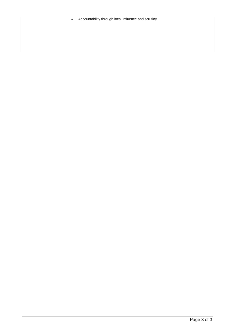| Accountability through local influence and scrutiny<br>$\bullet$ |
|------------------------------------------------------------------|
|                                                                  |
|                                                                  |
|                                                                  |
|                                                                  |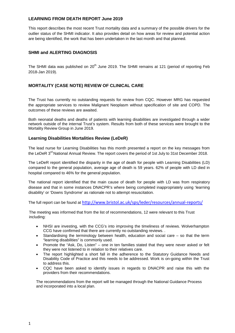## **LEARNING FROM DEATH REPORT June 2019**

This report describes the most recent Trust mortality data and a summary of the possible drivers for the outlier status of the SHMI indicator. It also provides detail on how areas for review and potential action are being identified, the work that has been undertaken in the last month and that planned.

## **SHMI and ALERTING DIAGNOSIS**

The SHMI data was published on 20<sup>th</sup> June 2019. The SHMI remains at 121 (period of reporting Feb 2018-Jan 2019).

## **MORTALITY (CASE NOTE) REVIEW OF CLINICAL CARE**

The Trust has currently no outstanding requests for review from CQC. However MRG has requested the appropriate services to review Malignant Neoplasm without specification of site and COPD. The outcomes of these reviews are awaited.

Both neonatal deaths and deaths of patients with learning disabilities are investigated through a wider network outside of the internal Trust's system. Results from both of these services were brought to the Mortality Review Group in June 2019.

## **Learning Disabilities Mortalities Review (LeDeR)**

The lead nurse for Learning Disabilities has this month presented a report on the key messages from the LeDeR 3<sup>rd</sup> National Annual Review. The report covers the period of 1st July to 31st December 2018.

The LeDeR report identified the disparity in the age of death for people with Learning Disabilities (LD) compared to the general population, average age of death is 59 years. 62% of people with LD died in hospital compared to 46% for the general population.

The national report identified that the main cause of death for people with LD was from respiratory disease and that in some instances DNACPR's where being completed inappropriately using 'learning disability' or 'Downs Syndrome' as rationale not to attempt resuscitation.

The full report can be found at <http://www.bristol.ac.uk/sps/leder/resources/annual-reports/>

The meeting was informed that from the list of recommendations, 12 were relevant to this Trust including:

- NHSI are investing, with the CCG's into improving the timeliness of reviews. Wolverhampton CCG have confirmed that there are currently no outstanding reviews. .
- Standardising the terminology between health, education and social care so that the term "learning disabilities" is commonly used.
- Promote the "Ask, Do, Listen" one in ten families stated that they were never asked or felt they were not listened to in relation to their relatives care.
- The report highlighted a short fall in the adherence to the Statutory Guidance Needs and Disability Code of Practice and this needs to be addressed. Work is on-going within the Trust to address this.
- CQC have been asked to identify issues in regards to DNACPR and raise this with the providers from their recommendations.

The recommendations from the report will be managed through the National Guidance Process and incorporated into a local plan.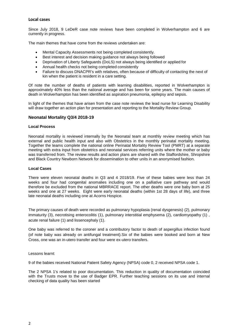## **Local cases**

Since July 2018, 9 LeDeR case note reviews have been completed in Wolverhampton and 6 are currently in progress.

The main themes that have come from the reviews undertaken are:

- Mental Capacity Assessments not being completed consistently.
- Best interest and decision making guidance not always being followed
- Deprivation of Liberty Safeguards (DoLS) not always being identified or applied for
- Annual health checks not being completed consistently
- Failure to discuss DNACPR's with relatives, often because of difficulty of contacting the next of kin when the patient is resident in a care setting.

Of note the number of deaths of patients with learning disabilities, reported in Wolverhampton is approximately 40% less than the national average and has been for some years. The main causes of death in Wolverhampton has been identified as aspiration pneumonia, epilepsy and sepsis.

In light of the themes that have arisen from the case note reviews the lead nurse for Learning Disability will draw together an action plan for presentation and reporting to the Mortality Review Group.

## **Neonatal Mortality Q3/4 2018-19**

#### **Local Process**

Neonatal mortality is reviewed internally by the Neonatal team at monthly review meeting which has external and public health input and also with Obstetrics in the monthly perinatal mortality meeting. Together the teams complete the national online Perinatal Mortality Review Tool (PMRT) at a separate meeting with extra input from obstetrics and neonatal services referring units where the mother or baby was transferred from. The review results and action plans are shared with the Staffordshire, Shropshire and Black Country Newborn Network for dissemination to other units in an anonymised fashion.

#### **Local Cases**

There were eleven neonatal deaths in Q3 and 4 2018/19. Five of these babies were less than 24 weeks and four had congenital anomalies including one on a palliative care pathway and would therefore be excluded from the national MBRRACE report. The other deaths were one baby born at 25 weeks and one at 27 weeks. Eight were early neonatal deaths (within 1st 28 days of life), and three late neonatal deaths including one at Acorns Hospice.

The primary causes of death were recorded as pulmonary hypoplasia (renal dysgenesis) (2), pulmonary immaturity (3), necrotising enterocolitis (1), pulmonary interstitial emphysema (2), cardiomyopathy (1) , acute renal failure (1) and lissencephaly (1).

One baby was referred to the coroner and a contributory factor to death of aspergillus infection found (of note baby was already on antifungal treatment).Six of the babies were booked and born at New Cross, one was an in-utero transfer and four were ex-utero transfers.

Lessons learnt:

9 of the babies received National Patient Safety Agency (NPSA) code 0, 2 received NPSA code 1.

The 2 NPSA 1's related to poor documentation. This reduction in quality of documentation coincided with the Trusts move to the use of Badger EPR. Further teaching sessions on its use and internal checking of data quality has been started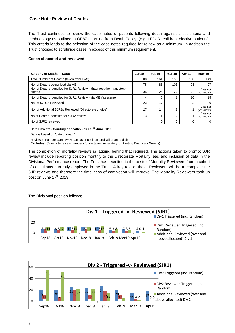## **Case Note Review of Deaths**

The Trust continues to review the case notes of patients following death against a set criteria and methodology as outlined in OP87 Learning from Death Policy, (e.g. LEDeR, children, elective patients). This criteria leads to the selection of the case notes required for review as a minimum. In addition the Trust chooses to scrutinise cases in excess of this minimum requirement.

#### **Cases allocated and reviewed**

| <b>Scrutiny of Deaths - Data:</b>                                              | Jan19 | Feb19 | Mar 19 | Apr 19 | May 19                |
|--------------------------------------------------------------------------------|-------|-------|--------|--------|-----------------------|
| Total Number of Deaths (taken from PAS)                                        | 208   | 161   | 158    | 158    | 149                   |
| No. of Deaths scrutinised via ME                                               | 75    | 85    | 103    | 98     | 97                    |
| No. of Deaths identified for SJR1 Review – that meet the mandatory<br>criteria | 36    | 26    | 22     | 22     | Data not<br>yet known |
| No. of Deaths identified for SJR1 Review - via ME Assessment                   | 4     | 5     |        | 10     | 15                    |
| No. of SJR1s Reviewed                                                          | 23    | 17    | 9      | 3      | 0                     |
| No. of Additional SJR1s Reviewed (Directorate choice)                          | 27    | 14    | 7      |        | Data not<br>vet known |
| No of Deaths identified for SJR2 review                                        | 3     |       | 2      |        | Data not<br>vet known |
| No of SJR2 reviewed                                                            |       | 0     | 0      |        | 0                     |

#### **Data Caveats - Scrutiny of deaths - as at 3rd June 2019:**

Data is based on 'date of death'

Reviewed numbers are always an 'as at position' and will change daily.

**Excludes:** Case note review numbers (undertaken separately for Alerting Diagnosis Groups)

The completion of mortality reviews is lagging behind that required. The actions taken to prompt SJR review include reporting position monthly to the Directorate Mortality lead and inclusion of data in the Divisional Performance report. The Trust has recruited to the posts of Mortality Reviewers from a cohort of consultants currently employed in the Trust. A key role of these Reviewers will be to complete the SJR reviews and therefore the timeliness of completion will improve. The Mortality Reviewers took up post on June  $17<sup>th</sup>$  2019.

The Divisional position follows;



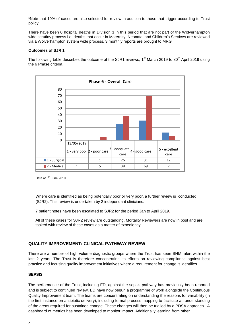\*Note that 10% of cases are also selected for review in addition to those that trigger according to Trust policy.

There have been 0 hospital deaths in Division 3 in this period that are not part of the Wolverhampton wide scrutiny process i.e. deaths that occur in Maternity, Neonatal and Children's Services are reviewed via a Wolverhampton system wide process, 3 monthly reports are brought to MRG

### **Outcomes of SJR 1**

The following table describes the outcome of the SJR1 reviews,  $1<sup>st</sup>$  March 2019 to 30<sup>th</sup> April 2019 using the 6 Phase criteria.



Data at 5<sup>th</sup> June 2019

Where care is identified as being potentially poor or very poor, a further review is conducted (SJR2). This review is undertaken by 2 independant clinicians.

7 patient notes have been escalated to SJR2 for the period Jan to April 2019.

All of these cases for SJR2 review are outstanding. Mortality Reviewers are now in post and are tasked with review of these cases as a matter of expediency.

## **QUALITY IMPROVEMENT: CLINICAL PATHWAY REVIEW**

There are a number of high volume diagnostic groups where the Trust has seen SHMI alert within the last 2 years. The Trust is therefore concentrating its efforts on reviewing compliance against best practice and focusing quality improvement initiatives where a requirement for change is identifies.

## **SEPSIS**

The performance of the Trust, including ED, against the sepsis pathway has previously been reported and is subject to continued review. ED have now begun a programme of work alongside the Continuous Quality Improvement team. The teams are concentrating on understanding the reasons for variability (in the first instance on antibiotic delivery), including formal process mapping to facilitate an understanding of the areas required for sustained change. These changes will then be trialled by a PDSA approach.. A dashboard of metrics has been developed to monitor impact. Additionally learning from other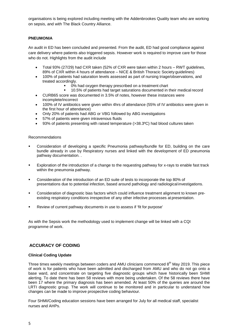organisations is being explored including meeting with the Addenbrookes Quality team who are working on sepsis, and with The Black Country Alliance.

## **PNEUMONIA**

An audit in ED has been concluded and presented. From the audit, ED had good compliance against care delivery where patients also triggered sepsis. However work is required to improve care for those who do not. Highlights from the audit include

- Total 93% (27/29) had CXR taken (52% of CXR were taken within 2 hours RWT guidelines, 89% of CXR within 4 hours of attendance – NICE & British Thoracic Society guidelines)
- 100% of patients had saturation levels assessed as part of nursing triage/observations, and treated accordingly.
	- 0% had oxygen therapy prescribed on a treatment chart
	- 10.5% of patients had target saturations documented in their medical record
- CURB65 score was documented in 3.5% of notes, however these instances were incomplete/incorrect
- 100% of IV antibiotics were given within 4hrs of attendance (55% of IV antibiotics were given in the first hour of attendance)
- Only 20% of patients had ABG or VBG followed by ABG investigations
- 57% of patients were given intravenous fluids
- 93% of patients presenting with raised temperature (>38.3°C) had blood cultures taken

#### Recommendations

- Consideration of developing a specific Pneumonia pathway/bundle for ED, building on the care bundle already in use by Respiratory nurses and linked with the development of ED pneumonia pathway documentation. .
- Exploration of the introduction of a change to the requesting pathway for x-rays to enable fast track within the pneumonia pathway.
- **Consideration of the introduction of an ED suite of tests to incorporate the top 80% of** presentations due to potential infection, based around pathology and radiological investigations.
- Consideration of diagnostic bias factors which could influence treatment alignment to known preexisting respiratory conditions irrespective of any other infective processes at presentation.
- Review of current pathway documents in use to assess if 'fit for purpose'

As with the Sepsis work the methodology used to implement change will be linked with a CQI programme of work.

## **ACCURACY OF CODING**

#### **Clinical Coding Update**

Three times weekly meetings between coders and AMU clinicians commenced  $8<sup>th</sup>$  May 2019. This piece of work is for patients who have been admitted and discharged from AMU and who do not go onto a base ward, and concentrate on targeting five diagnostic groups which have historically been SHMI alerting. To date there has been 58 reviews with more being undertaken. Of the 58 reviews there have been 17 where the primary diagnosis has been amended. At least 50% of the queries are around the LRTI diagnostic group. The work will continue to be monitored and in particular to understand how changes can be made to improve prospective coding behaviour.

Four SHMI/Coding education sessions have been arranged for July for all medical staff, specialist nurses and AHPs.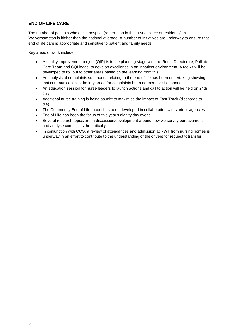## **END OF LIFE CARE**

The number of patients who die in hospital (rather than in their usual place of residency) in Wolverhampton is higher than the national average. A number of initiatives are underway to ensure that end of life care is appropriate and sensitive to patient and family needs.

Key areas of work include:

- A quality improvement project (QIP) is in the planning stage with the Renal Directorate, Palliate Care Team and CQI leads, to develop excellence in an inpatient environment. A toolkit will be developed to roll out to other areas based on the learning from this.
- An analysis of complaints summaries relating to the end of life has been undertaking showing that communication is the key areas for complaints but a deeper dive is planned.
- An education session for nurse leaders to launch actions and call to action will be held on 24th July.
- Additional nurse training is being sought to maximise the impact of Fast Track (discharge to die).
- The Community End of Life model has been developed in collaboration with various agencies.
- End of Life has been the focus of this year's dignity day event.
- Several research topics are in discussion/development around how we survey bereavement and analyse complaints thematically.
- In conjunction with CCG, a review of attendances and admission at RWT from nursing homes is underway in an effort to contribute to the understanding of the drivers for request totransfer.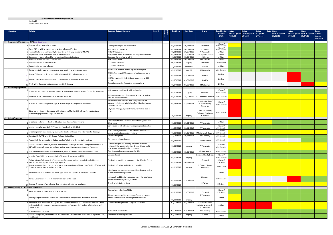#### **Quality Improvement Plan 1 (Mortality)**

Version 20 Updated 31st May 2019

**The Co** 

| Activity<br><b>Objective</b>                                                                                                                                                                                        | <b>Expected Output/Outcome</b><br>Benefit                                                                                                         | <b>Start Date</b><br>MVA<br>(M/N | <b>End Date</b> | Owner                                                             | <b>Exec Director Status</b><br>(TBC) | 07/11/18 | <b>Status</b><br>Date of Update Date of Update of Update<br>10/12/18 | <b>Status</b><br>07/01/19 | Date Status<br>Date of Update<br>25/02/19 | <b>Status</b><br>Date of Update Date of Update Date of<br>20/03/19 | <b>Status</b><br>29/04/19 | <b>Status</b><br>Update<br>31/05/19 |
|---------------------------------------------------------------------------------------------------------------------------------------------------------------------------------------------------------------------|---------------------------------------------------------------------------------------------------------------------------------------------------|----------------------------------|-----------------|-------------------------------------------------------------------|--------------------------------------|----------|----------------------------------------------------------------------|---------------------------|-------------------------------------------|--------------------------------------------------------------------|---------------------------|-------------------------------------|
| A1 Programme Management (PM) and Governance                                                                                                                                                                         |                                                                                                                                                   |                                  |                 |                                                                   |                                      |          |                                                                      |                           |                                           |                                                                    |                           |                                     |
| Develop a Trust Mortality Strategy                                                                                                                                                                                  | Strategy developed via consultation                                                                                                               | 01/09/2018                       | 30/11/2018      | D Hickman                                                         | J Odum/<br>AM Cannaby                |          |                                                                      |                           |                                           |                                                                    |                           |                                     |
| Agree TOR of MIG to include scope and development/review                                                                                                                                                            | MIG terms of reference                                                                                                                            | 01/06/2018                       | 30/07/2018      | S Roberts                                                         | J Odum/<br>AM Cannaby                |          |                                                                      |                           |                                           |                                                                    |                           |                                     |
| 3 Terms of Reference for Mortality Review Group following merger of MoRAG                                                                                                                                           | MRG TOR developed                                                                                                                                 | 01/06/2018                       | 30/07/2018      | A Viswanath                                                       | J Odum                               |          |                                                                      |                           |                                           |                                                                    |                           |                                     |
| 4 Programme Board and Action Plan to be developed                                                                                                                                                                   | Programme Board established. Action plan formulated                                                                                               | 01/08/2018                       | 15/10/2018      | J Odum/AM Cannaby                                                 | J Odum                               |          |                                                                      |                           |                                           |                                                                    |                           |                                     |
| Dashboard to be developed for monitoring of impact of actions                                                                                                                                                       | Dashboard presented to MRG                                                                                                                        | 01/07/2018                       | 15/10/2018      | S Hickman                                                         | J Odum                               |          |                                                                      |                           |                                           |                                                                    |                           |                                     |
| S Board Assurance Framework submission                                                                                                                                                                              | Risk added to BAF<br>Contract commenced                                                                                                           | 01/08/2018<br>04/10/2018         | 30/08/2018      | J McKiernan                                                       | J Odum<br>S Mahmud                   |          |                                                                      |                           |                                           |                                                                    |                           |                                     |
| Appoint external analytic expertise                                                                                                                                                                                 | Contract commenced                                                                                                                                |                                  | ongoing         | S Mahmud                                                          |                                      |          |                                                                      |                           |                                           |                                                                    |                           |                                     |
| Appoint external medical expert                                                                                                                                                                                     |                                                                                                                                                   | 17/09/2018                       | 12 months       | J Odum                                                            | J Odum                               |          |                                                                      |                           |                                           |                                                                    |                           |                                     |
| Review mortality quality improvement plan monthly at programme board                                                                                                                                                | Trust Board monthly update against action plan<br>DMD influence at MRG, outputs of audits reported at                                             | 05/11/2018                       | monthly         | AM Cannaby                                                        | AM Cannaby                           |          |                                                                      |                           |                                           |                                                                    |                           |                                     |
| Review Divisional participation and involvement in Mortality Governance                                                                                                                                             | QSI.                                                                                                                                              | 01/03/2019                       | 31/07/2019      | DMD's                                                             | J Odum                               |          |                                                                      |                           |                                           |                                                                    |                           |                                     |
| Review Directorate participation and involvement in Mortality Governance                                                                                                                                            | MDT involvement in M&M/Governance meets, CQI<br>outputs                                                                                           | 01/03/2019                       | 01/06/2019      | DMD's                                                             | J Odum                               |          |                                                                      |                           |                                           |                                                                    |                           |                                     |
| 12 Work with other organisations across the Black Country                                                                                                                                                           | Adopt best practice from other organisations                                                                                                      | 01/04/2019                       | 01/09/2019      | J McKiernan                                                       | J Odum                               |          |                                                                      |                           |                                           |                                                                    |                           |                                     |
| A2 City wide programme                                                                                                                                                                                              | MIG meeting established, with action plan                                                                                                         |                                  |                 |                                                                   | J Odum/                              |          |                                                                      |                           |                                           |                                                                    |                           |                                     |
| Draw together current interested groups to work to one strategy (Acute, Comm, PH, Compton)                                                                                                                          |                                                                                                                                                   | 01/07/2018                       | ongoing         | S Roberts                                                         | AM Cannaby                           |          |                                                                      |                           |                                           |                                                                    |                           |                                     |
| Pathways of EoL Care in and out of hospital reviewed                                                                                                                                                                | Redesign/agreement of pathways. Number of patients<br>who die outside hospital                                                                    | 01/07/2018                       | 28/02/2019      | AM Cannaby/S Robert:                                              | AM Cannaby                           |          |                                                                      |                           |                                           |                                                                    |                           |                                     |
|                                                                                                                                                                                                                     | Review data and consider new care pathways for                                                                                                    |                                  |                 | N Ballard/K Shaw/                                                 |                                      |          |                                                                      |                           |                                           |                                                                    |                           |                                     |
| In reach to care/nursing homes by C/E team / Scope Nursing Home admissions                                                                                                                                          | planned reduction in admissions from Nursing Homes.<br>Data sent to CCG.                                                                          | 01/09/2018                       | 31/12/2018      | S Hutchinson /<br>S Roberts                                       | J Odum/<br>AM Cannaby                |          |                                                                      |                           |                                           |                                                                    |                           |                                     |
|                                                                                                                                                                                                                     | City wide strategy. Quarterly review of rollout plan to                                                                                           |                                  |                 |                                                                   |                                      |          |                                                                      |                           |                                           |                                                                    |                           |                                     |
| City wide EoL Strategy developed with milestones. Monitor GSF roll out for inpatient and                                                                                                                            | COG.                                                                                                                                              |                                  |                 | Chair EoL Group /                                                 | AM Cannaby                           |          |                                                                      |                           |                                           |                                                                    |                           |                                     |
| community populations. Scope EoL activity.                                                                                                                                                                          |                                                                                                                                                   | 30/10/2018                       | ongoing         | Palliative Care Lead/<br>K Warren                                 |                                      |          |                                                                      |                           |                                           |                                                                    |                           |                                     |
| A3 Policy/Processes                                                                                                                                                                                                 |                                                                                                                                                   |                                  |                 |                                                                   |                                      |          |                                                                      |                           |                                           |                                                                    |                           |                                     |
| Establish a pathway for death certification linked to mortality reviews                                                                                                                                             | mplement Medical Examiner model to integrate with                                                                                                 | 01/08/2018                       | 30/11/2018      |                                                                   | J Odum                               |          |                                                                      |                           |                                           |                                                                    |                           |                                     |
| Monitor compliance with OP87 (Learning from Deaths) SJR 1 & 2                                                                                                                                                       | SJR process<br>Completion of SJR 1& 2reviews as per agreed standard                                                                               | 01/08/2018                       | 30/11/2018      | A Viswanath<br>A Viswanath                                        | J Odum/<br>AM Cannaby                |          |                                                                      |                           |                                           |                                                                    |                           |                                     |
| Establish primary care mortality reviews for deaths within 30 days after hospital discharge                                                                                                                         | RWT, primary care and CCG to establish process and<br>secure funding to undertake reviews                                                         | 01/08/2018                       |                 | 31/12/2018 J McKiernan/S Robert                                   | J Odum/<br>AM Cannaby                |          |                                                                      |                           |                                           |                                                                    |                           |                                     |
| Re-establish RWT End of Life Group, ToR and Action Plan                                                                                                                                                             | Action Plan agreed                                                                                                                                | 31/08/2018                       | 30/11/2018      | AM Cannaby                                                        | AM Cannaby                           |          |                                                                      |                           |                                           |                                                                    |                           |                                     |
| To establish the process for including families/relatives in the mortality reviews                                                                                                                                  | Bereavement Nurse in post                                                                                                                         |                                  |                 |                                                                   | AM Cannaby                           |          |                                                                      |                           |                                           |                                                                    |                           |                                     |
|                                                                                                                                                                                                                     |                                                                                                                                                   | 01/04/2019                       |                 | <b>Martina Morris</b>                                             |                                      |          |                                                                      |                           |                                           |                                                                    |                           |                                     |
| Monitor results of mortality reviews and compile learning outcomes. Triangulate outcomes of<br>SJR's with lessons learned from clinical audits, mortality reviews and coroners' reports.                            | Directorates present learning outcomes after SJR<br>eviews at the Mortality Review Group. Clinical audit<br>programme reflects learning outcomes. | 01/10/2018                       | ongoing         | A Viswanath                                                       | J Odum/<br>AM Cannaby                |          |                                                                      |                           |                                           |                                                                    |                           |                                     |
| Expansion of the numbers of trained nurses/AHPs to support completion of SJR 1 and 2                                                                                                                                | Recruitment of nurses to undertake SJRs                                                                                                           | 01/10/2018                       | 15/12/2018      | Martina Morris                                                    | AM Cannaby                           |          |                                                                      |                           |                                           |                                                                    |                           |                                     |
| Learning from SJR 2s to be shared with Divisions, Trust Board and CCG                                                                                                                                               | Lessons snared                                                                                                                                    |                                  |                 | Divisional leads/Execs                                            | J Odum/                              |          |                                                                      |                           |                                           |                                                                    |                           |                                     |
|                                                                                                                                                                                                                     |                                                                                                                                                   | 01/10/2018                       | ongoing         |                                                                   | AM Cannaby                           |          |                                                                      |                           |                                           |                                                                    |                           |                                     |
| Coding reflects full diagnosis of population of admitted patients to include definitive co-<br>morbidities. Primary and secondary diagnoses.                                                                        | Feedback on additional software; revised Coding Policy.                                                                                           | 01/10/2018                       | 30/11/2018      | J Cotterell                                                       | J Odum/<br>K Stringer                |          |                                                                      |                           |                                           |                                                                    |                           |                                     |
| Review analytical data provided by external experts to inform Directorates/Division/Coding and<br>10 Executive teams. Data submitted to PWC.                                                                        | Feedback of coding and HED data monthly                                                                                                           | 01/11/2018                       | ongoing         | N Coates / Sultan<br>Mahmud                                       | S Mahmud                             |          |                                                                      |                           |                                           |                                                                    |                           |                                     |
| Implementation of NEWS2 track and trigger system and protocol for sepsis identified.                                                                                                                                | Identify and management of sepsis/deteriorating patient<br>in line with national guidance.                                                        |                                  |                 |                                                                   | J Odum                               |          |                                                                      |                           |                                           |                                                                    |                           |                                     |
| Review Governance feedback mechanisms across the Trust                                                                                                                                                              | Individuals and Directorates are aware of the results and<br>actions from investigations/incidents                                                | 01/03/2019                       | 31/07/2019      | M Arthur                                                          | AM Cannaby                           |          |                                                                      |                           |                                           |                                                                    |                           |                                     |
| Develop IT platform (worksheets, data collection, directorate feedback)                                                                                                                                             | <b>Trends of Mortality reviews</b>                                                                                                                | 01/01/2019                       |                 | S Parton                                                          | K Stringer                           |          |                                                                      |                           |                                           |                                                                    |                           |                                     |
| A4 Quality/Safety of Care Mortality Reviews                                                                                                                                                                         |                                                                                                                                                   |                                  |                 |                                                                   |                                      |          |                                                                      |                           |                                           |                                                                    |                           |                                     |
| Reduce number of short term FCEs at 'front door'                                                                                                                                                                    | Appropriate reduction of FCEs                                                                                                                     | 01/01/2018                       | 31/05/2018      | J Cotterell                                                       | J Odum/<br>K Stringer                |          |                                                                      |                           |                                           |                                                                    |                           |                                     |
| Alerting diagnosis baskets receive case note reviews via specialists within two months                                                                                                                              | Alerts returned within two months Report presented<br>and discussed at MRG within agreed timescales                                               | 01/01/2018                       | ongoing         | A Viswanath                                                       | J Odum                               |          |                                                                      |                           |                                           |                                                                    |                           |                                     |
| Implement care pathway audit against best practice standards as CQI in all directorates. Utilise<br>reviews of alerting diagnosis outcomes to decide on "prospective" audits. MRG to liaise with<br>Clinical Audit. | Directorates to agree and complete CQI audits                                                                                                     | 01/07/2018                       | 01/06/2019      | <b>Medical Divisional</b><br>leads / A Viswanath /<br>S Cherukuri | J Odum                               |          |                                                                      |                           |                                           |                                                                    |                           |                                     |
| PDSA community in reach                                                                                                                                                                                             | PDSA cycles to be tested                                                                                                                          | 01/09/2018                       | 01/03/2019      | AM Cannaby                                                        | AM Cannaby                           |          |                                                                      |                           |                                           |                                                                    |                           |                                     |
| Monitor complaints, incident trends at Directorate, Divisional and Trust level via IQPR and TMC /<br>Trust Board                                                                                                    | Evidenced in meeting minutes                                                                                                                      | 01/01/2018                       | ongoing         | J Odum                                                            | J Odum                               |          |                                                                      |                           |                                           |                                                                    |                           |                                     |